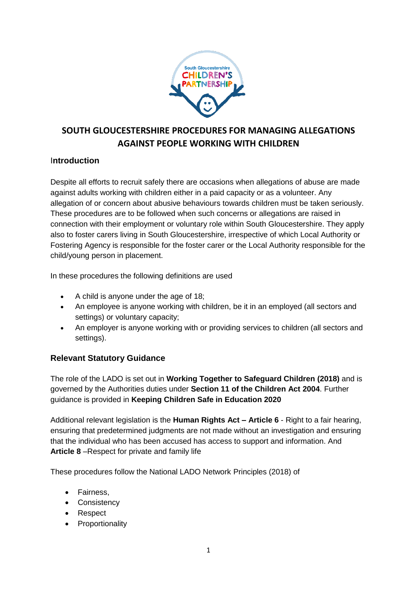

# **SOUTH GLOUCESTERSHIRE PROCEDURES FOR MANAGING ALLEGATIONS AGAINST PEOPLE WORKING WITH CHILDREN**

### I**ntroduction**

Despite all efforts to recruit safely there are occasions when allegations of abuse are made against adults working with children either in a paid capacity or as a volunteer. Any allegation of or concern about abusive behaviours towards children must be taken seriously. These procedures are to be followed when such concerns or allegations are raised in connection with their employment or voluntary role within South Gloucestershire. They apply also to foster carers living in South Gloucestershire, irrespective of which Local Authority or Fostering Agency is responsible for the foster carer or the Local Authority responsible for the child/young person in placement.

In these procedures the following definitions are used

- A child is anyone under the age of 18;
- An employee is anyone working with children, be it in an employed (all sectors and settings) or voluntary capacity;
- An employer is anyone working with or providing services to children (all sectors and settings).

## **Relevant Statutory Guidance**

The role of the LADO is set out in **Working Together to Safeguard Children (2018)** and is governed by the Authorities duties under **Section 11 of the Children Act 2004**. Further guidance is provided in **Keeping Children Safe in Education 2020**

Additional relevant legislation is the **Human Rights Act – Article 6** - Right to a fair hearing, ensuring that predetermined judgments are not made without an investigation and ensuring that the individual who has been accused has access to support and information. And **Article 8** –Respect for private and family life

These procedures follow the National LADO Network Principles (2018) of

- Fairness.
- Consistency
- Respect
- Proportionality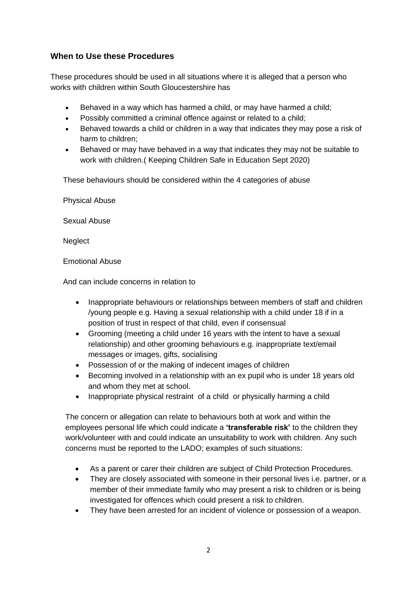## **When to Use these Procedures**

These procedures should be used in all situations where it is alleged that a person who works with children within South Gloucestershire has

- Behaved in a way which has harmed a child, or may have harmed a child;
- Possibly committed a criminal offence against or related to a child;
- Behaved towards a child or children in a way that indicates they may pose a risk of harm to children;
- Behaved or may have behaved in a way that indicates they may not be suitable to work with children.( Keeping Children Safe in Education Sept 2020)

These behaviours should be considered within the 4 categories of abuse

Physical Abuse

Sexual Abuse

**Neglect** 

Emotional Abuse

And can include concerns in relation to

- Inappropriate behaviours or relationships between members of staff and children /young people e.g. Having a sexual relationship with a child under 18 if in a position of trust in respect of that child, even if consensual
- Grooming (meeting a child under 16 years with the intent to have a sexual relationship) and other grooming behaviours e.g. inappropriate text/email messages or images, gifts, socialising
- Possession of or the making of indecent images of children
- Becoming involved in a relationship with an ex pupil who is under 18 years old and whom they met at school.
- Inappropriate physical restraint of a child or physically harming a child

The concern or allegation can relate to behaviours both at work and within the employees personal life which could indicate a **'transferable risk'** to the children they work/volunteer with and could indicate an unsuitability to work with children. Any such concerns must be reported to the LADO; examples of such situations:

- As a parent or carer their children are subject of Child Protection Procedures.
- They are closely associated with someone in their personal lives i.e. partner, or a member of their immediate family who may present a risk to children or is being investigated for offences which could present a risk to children.
- They have been arrested for an incident of violence or possession of a weapon.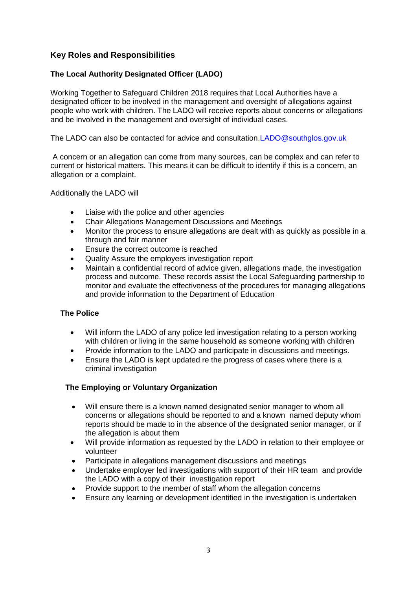### **Key Roles and Responsibilities**

#### **The Local Authority Designated Officer (LADO)**

Working Together to Safeguard Children 2018 requires that Local Authorities have a designated officer to be involved in the management and oversight of allegations against people who work with children. The LADO will receive reports about concerns or allegations and be involved in the management and oversight of individual cases.

The LADO can also be contacted for advice and consultation[.LADO@southglos.gov.uk](mailto:LADO@southglos.gov.uk)

A concern or an allegation can come from many sources, can be complex and can refer to current or historical matters. This means it can be difficult to identify if this is a concern, an allegation or a complaint.

Additionally the LADO will

- Liaise with the police and other agencies
- Chair Allegations Management Discussions and Meetings
- Monitor the process to ensure allegations are dealt with as quickly as possible in a through and fair manner
- Ensure the correct outcome is reached
- Quality Assure the employers investigation report
- Maintain a confidential record of advice given, allegations made, the investigation process and outcome. These records assist the Local Safeguarding partnership to monitor and evaluate the effectiveness of the procedures for managing allegations and provide information to the Department of Education

#### **The Police**

- Will inform the LADO of any police led investigation relating to a person working with children or living in the same household as someone working with children
- Provide information to the LADO and participate in discussions and meetings.
- Ensure the LADO is kept updated re the progress of cases where there is a criminal investigation

#### **The Employing or Voluntary Organization**

- Will ensure there is a known named designated senior manager to whom all concerns or allegations should be reported to and a known named deputy whom reports should be made to in the absence of the designated senior manager, or if the allegation is about them
- Will provide information as requested by the LADO in relation to their employee or volunteer
- Participate in allegations management discussions and meetings
- Undertake employer led investigations with support of their HR team and provide the LADO with a copy of their investigation report
- Provide support to the member of staff whom the allegation concerns
- Ensure any learning or development identified in the investigation is undertaken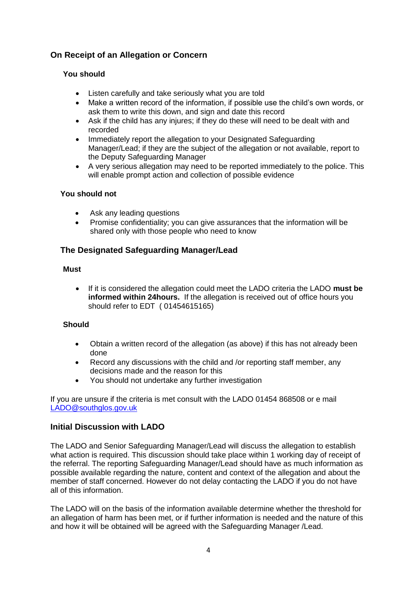# **On Receipt of an Allegation or Concern**

### **You should**

- Listen carefully and take seriously what you are told
- Make a written record of the information, if possible use the child's own words, or ask them to write this down, and sign and date this record
- Ask if the child has any injures; if they do these will need to be dealt with and recorded
- Immediately report the allegation to your Designated Safeguarding Manager/Lead; if they are the subject of the allegation or not available, report to the Deputy Safeguarding Manager
- A very serious allegation may need to be reported immediately to the police. This will enable prompt action and collection of possible evidence

#### **You should not**

- Ask any leading questions
- Promise confidentiality; you can give assurances that the information will be shared only with those people who need to know

### **The Designated Safeguarding Manager/Lead**

#### **Must**

 If it is considered the allegation could meet the LADO criteria the LADO **must be informed within 24hours.** If the allegation is received out of office hours you should refer to EDT ( 01454615165)

#### **Should**

- Obtain a written record of the allegation (as above) if this has not already been done
- Record any discussions with the child and /or reporting staff member, any decisions made and the reason for this
- You should not undertake any further investigation

If you are unsure if the criteria is met consult with the LADO 01454 868508 or e mail [LADO@southglos.gov.uk](mailto:LADO@southglos.gov.uk)

#### **Initial Discussion with LADO**

The LADO and Senior Safeguarding Manager/Lead will discuss the allegation to establish what action is required. This discussion should take place within 1 working day of receipt of the referral. The reporting Safeguarding Manager/Lead should have as much information as possible available regarding the nature, content and context of the allegation and about the member of staff concerned. However do not delay contacting the LADO if you do not have all of this information.

The LADO will on the basis of the information available determine whether the threshold for an allegation of harm has been met, or if further information is needed and the nature of this and how it will be obtained will be agreed with the Safeguarding Manager /Lead.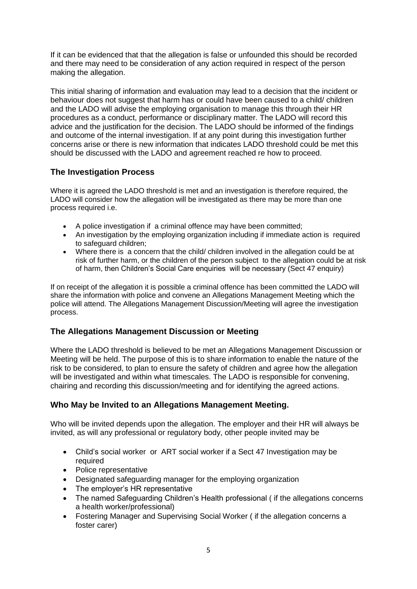If it can be evidenced that that the allegation is false or unfounded this should be recorded and there may need to be consideration of any action required in respect of the person making the allegation.

This initial sharing of information and evaluation may lead to a decision that the incident or behaviour does not suggest that harm has or could have been caused to a child/ children and the LADO will advise the employing organisation to manage this through their HR procedures as a conduct, performance or disciplinary matter. The LADO will record this advice and the justification for the decision. The LADO should be informed of the findings and outcome of the internal investigation. If at any point during this investigation further concerns arise or there is new information that indicates LADO threshold could be met this should be discussed with the LADO and agreement reached re how to proceed.

## **The Investigation Process**

Where it is agreed the LADO threshold is met and an investigation is therefore required, the LADO will consider how the allegation will be investigated as there may be more than one process required i.e.

- A police investigation if a criminal offence may have been committed;
- An investigation by the employing organization including if immediate action is required to safeguard children;
- Where there is a concern that the child/ children involved in the allegation could be at risk of further harm, or the children of the person subject to the allegation could be at risk of harm, then Children's Social Care enquiries will be necessary (Sect 47 enquiry)

If on receipt of the allegation it is possible a criminal offence has been committed the LADO will share the information with police and convene an Allegations Management Meeting which the police will attend. The Allegations Management Discussion/Meeting will agree the investigation process.

## **The Allegations Management Discussion or Meeting**

Where the LADO threshold is believed to be met an Allegations Management Discussion or Meeting will be held. The purpose of this is to share information to enable the nature of the risk to be considered, to plan to ensure the safety of children and agree how the allegation will be investigated and within what timescales. The LADO is responsible for convening, chairing and recording this discussion/meeting and for identifying the agreed actions.

## **Who May be Invited to an Allegations Management Meeting.**

Who will be invited depends upon the allegation. The employer and their HR will always be invited, as will any professional or regulatory body, other people invited may be

- Child's social worker or ART social worker if a Sect 47 Investigation may be required
- Police representative
- Designated safeguarding manager for the employing organization
- The employer's HR representative
- The named Safeguarding Children's Health professional ( if the allegations concerns a health worker/professional)
- Fostering Manager and Supervising Social Worker ( if the allegation concerns a foster carer)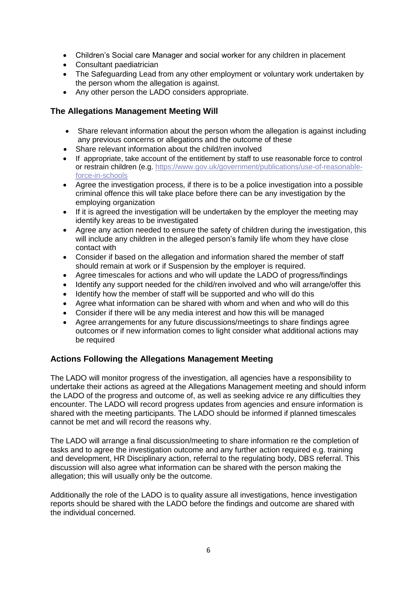- Children's Social care Manager and social worker for any children in placement
- Consultant paediatrician
- The Safeguarding Lead from any other employment or voluntary work undertaken by the person whom the allegation is against.
- Any other person the LADO considers appropriate.

#### **The Allegations Management Meeting Will**

- Share relevant information about the person whom the allegation is against including any previous concerns or allegations and the outcome of these
- Share relevant information about the child/ren involved
- If appropriate, take account of the entitlement by staff to use reasonable force to control or restrain children (e.g. [https://www.gov.uk/government/publications/use-of-reasonable](https://www.gov.uk/government/publications/use-of-reasonable-force-in-schools)[force-in-schools](https://www.gov.uk/government/publications/use-of-reasonable-force-in-schools)
- Agree the investigation process, if there is to be a police investigation into a possible criminal offence this will take place before there can be any investigation by the employing organization
- If it is agreed the investigation will be undertaken by the employer the meeting may identify key areas to be investigated
- Agree any action needed to ensure the safety of children during the investigation, this will include any children in the alleged person's family life whom they have close contact with
- Consider if based on the allegation and information shared the member of staff should remain at work or if Suspension by the employer is required.
- Agree timescales for actions and who will update the LADO of progress/findings
- Identify any support needed for the child/ren involved and who will arrange/offer this
- Identify how the member of staff will be supported and who will do this
- Agree what information can be shared with whom and when and who will do this
- Consider if there will be any media interest and how this will be managed
- Agree arrangements for any future discussions/meetings to share findings agree outcomes or if new information comes to light consider what additional actions may be required

#### **Actions Following the Allegations Management Meeting**

The LADO will monitor progress of the investigation, all agencies have a responsibility to undertake their actions as agreed at the Allegations Management meeting and should inform the LADO of the progress and outcome of, as well as seeking advice re any difficulties they encounter. The LADO will record progress updates from agencies and ensure information is shared with the meeting participants. The LADO should be informed if planned timescales cannot be met and will record the reasons why.

The LADO will arrange a final discussion/meeting to share information re the completion of tasks and to agree the investigation outcome and any further action required e.g. training and development, HR Disciplinary action, referral to the regulating body, DBS referral. This discussion will also agree what information can be shared with the person making the allegation; this will usually only be the outcome.

Additionally the role of the LADO is to quality assure all investigations, hence investigation reports should be shared with the LADO before the findings and outcome are shared with the individual concerned.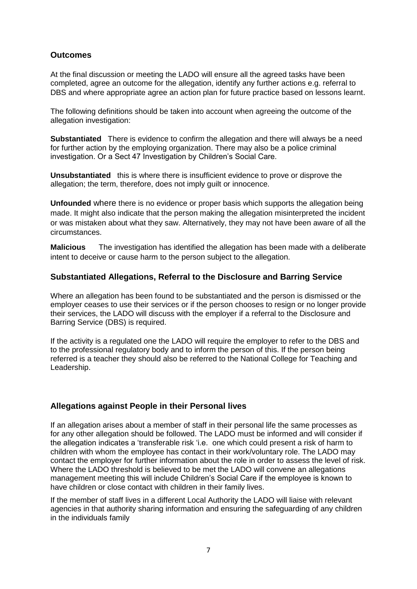### **Outcomes**

At the final discussion or meeting the LADO will ensure all the agreed tasks have been completed, agree an outcome for the allegation, identify any further actions e.g. referral to DBS and where appropriate agree an action plan for future practice based on lessons learnt.

The following definitions should be taken into account when agreeing the outcome of the allegation investigation:

**Substantiated** There is evidence to confirm the allegation and there will always be a need for further action by the employing organization. There may also be a police criminal investigation. Or a Sect 47 Investigation by Children's Social Care.

**Unsubstantiated** this is where there is insufficient evidence to prove or disprove the allegation; the term, therefore, does not imply guilt or innocence.

**Unfounded** where there is no evidence or proper basis which supports the allegation being made. It might also indicate that the person making the allegation misinterpreted the incident or was mistaken about what they saw. Alternatively, they may not have been aware of all the circumstances.

**Malicious** The investigation has identified the allegation has been made with a deliberate intent to deceive or cause harm to the person subject to the allegation.

#### **Substantiated Allegations, Referral to the Disclosure and Barring Service**

Where an allegation has been found to be substantiated and the person is dismissed or the employer ceases to use their services or if the person chooses to resign or no longer provide their services, the LADO will discuss with the employer if a referral to the Disclosure and Barring Service (DBS) is required.

If the activity is a regulated one the LADO will require the employer to refer to the DBS and to the professional regulatory body and to inform the person of this. If the person being referred is a teacher they should also be referred to the National College for Teaching and Leadership.

#### **Allegations against People in their Personal lives**

If an allegation arises about a member of staff in their personal life the same processes as for any other allegation should be followed. The LADO must be informed and will consider if the allegation indicates a 'transferable risk 'i.e. one which could present a risk of harm to children with whom the employee has contact in their work/voluntary role. The LADO may contact the employer for further information about the role in order to assess the level of risk. Where the LADO threshold is believed to be met the LADO will convene an allegations management meeting this will include Children's Social Care if the employee is known to have children or close contact with children in their family lives.

If the member of staff lives in a different Local Authority the LADO will liaise with relevant agencies in that authority sharing information and ensuring the safeguarding of any children in the individuals family